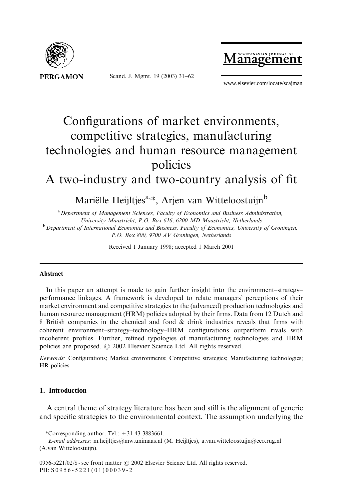

Scand. J. Mgmt. 19 (2003) 31–62

 $\mathbf{M}$  scandinavian journal of

www.elsevier.com/locate/scajman

# Configurations of market environments, competitive strategies, manufacturing technologies and human resource management policies A two-industry and two-country analysis of fit

Mariëlle Heijltjes<sup>a,\*</sup>, Arjen van Witteloostuijn<sup>b</sup> <sup>a</sup> Department of Management Sciences, Faculty of Economics and Business Administration,

University Maastricht, P.O. Box 616, 6200 MD Maastricht, Netherlands  $b$  Department of International Economics and Business, Faculty of Economics, University of Groningen, P.O. Box 800, 9700 AV Groningen, Netherlands

Received 1 January 1998; accepted 1 March 2001

#### Abstract

In this paper an attempt is made to gain further insight into the environment–strategy– performance linkages. A framework is developed to relate managers' perceptions of their market environment and competitive strategies to the (advanced) production technologies and human resource management (HRM) policies adopted by their firms. Data from 12 Dutch and 8 British companies in the chemical and food & drink industries reveals that firms with coherent environment–strategy–technology–HRM configurations outperform rivals with incoherent profiles. Further, refined typologies of manufacturing technologies and HRM policies are proposed.  $\odot$  2002 Elsevier Science Ltd. All rights reserved.

Keywords: Configurations; Market environments; Competitive strategies; Manufacturing technologies; HR policies

### 1. Introduction

A central theme of strategy literature has been and still is the alignment of generic and specific strategies to the environmental context. The assumption underlying the

<sup>\*</sup>Corresponding author. Tel.:  $+31-43-3883661$ .

E-mail addresses: m.heijltjes@mw.unimaas.nl (M. Heijltjes), a.van.witteloostuijn@eco.rug.nl (A.van Witteloostuijn).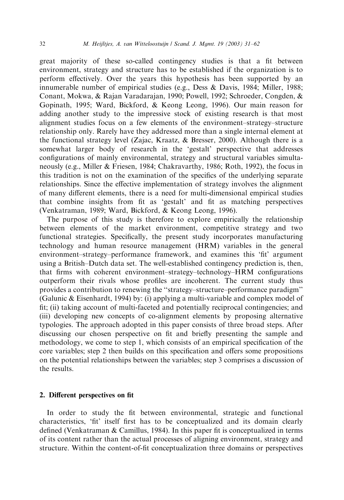great majority of these so-called contingency studies is that a fit between environment, strategy and structure has to be established if the organization is to perform effectively. Over the years this hypothesis has been supported by an innumerable number of empirical studies (e.g., Dess & Davis, 1984; Miller, 1988; Conant, Mokwa, & Rajan Varadarajan, 1990; Powell, 1992; Schroeder, Congden, & Gopinath, 1995; Ward, Bickford, & Keong Leong, 1996). Our main reason for adding another study to the impressive stock of existing research is that most alignment studies focus on a few elements of the environment–strategy–structure relationship only. Rarely have they addressed more than a single internal element at the functional strategy level (Zajac, Kraatz, & Bresser, 2000). Although there is a somewhat larger body of research in the 'gestalt' perspective that addresses configurations of mainly environmental, strategy and structural variables simultaneously (e.g., Miller & Friesen, 1984; Chakravarthy, 1986; Roth, 1992), the focus in this tradition is not on the examination of the specifics of the underlying separate relationships. Since the effective implementation of strategy involves the alignment of many different elements, there is a need for multi-dimensional empirical studies that combine insights from fit as 'gestalt' and fit as matching perspectives (Venkatraman, 1989; Ward, Bickford, & Keong Leong, 1996).

The purpose of this study is therefore to explore empirically the relationship between elements of the market environment, competitive strategy and two functional strategies. Specifically, the present study incorporates manufacturing technology and human resource management (HRM) variables in the general environment–strategy–performance framework, and examines this 'fit' argument using a British–Dutch data set. The well-established contingency prediction is,then, that firms with coherent environment–strategy–technology–HRM configurations outperform their rivals whose profiles are incoherent. The current study thus provides a contribution to renewing the ''strategy–structure–performance paradigm'' (Galunic & Eisenhardt,1994) by: (i) applying a multi-variable and complex model of fit; (ii) taking account of multi-faceted and potentially reciprocal contingencies; and (iii) developing new concepts of co-alignment elements by proposing alternative typologies. The approach adopted in this paper consists of three broad steps. After discussing our chosen perspective on fit and briefly presenting the sample and methodology, we come to step 1, which consists of an empirical specification of the core variables; step 2 then builds on this specification and offers some propositions on the potential relationships between the variables; step 3 comprises a discussion of the results.

### 2. Different perspectives on fit

In order to study the fit between environmental, strategic and functional characteristics,'fit' itself first has to be conceptualized and its domain clearly defined (Venkatraman & Camillus,1984). In this paper fit is conceptualized in terms of its content rather than the actual processes of aligning environment, strategy and structure. Within the content-of-fit conceptualization three domains or perspectives